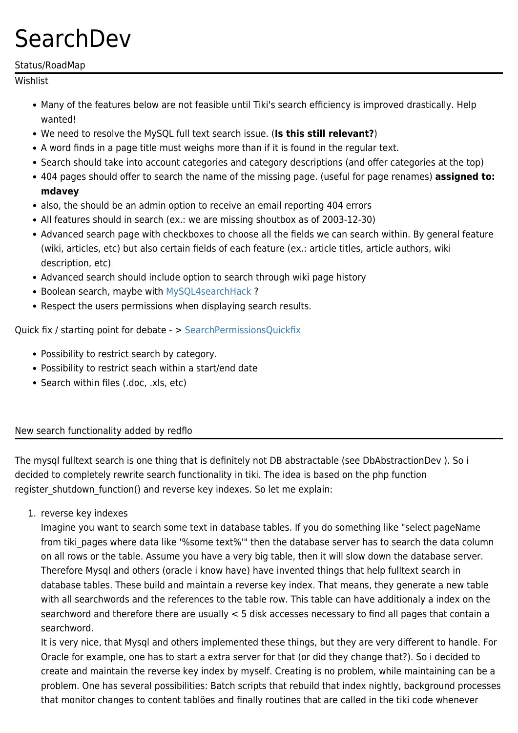# **SearchDev**

#### Status/RoadMap

Wishlist

- Many of the features below are not feasible until Tiki's search efficiency is improved drastically. Help wanted!
- We need to resolve the MySQL full text search issue. (**Is this still relevant?**)
- A word finds in a page title must weighs more than if it is found in the regular text.
- Search should take into account categories and category descriptions (and offer categories at the top)
- 404 pages should offer to search the name of the missing page. (useful for page renames) **assigned to: mdavey**
- also, the should be an admin option to receive an email reporting 404 errors
- All features should in search (ex.: we are missing shoutbox as of 2003-12-30)
- Advanced search page with checkboxes to choose all the fields we can search within. By general feature (wiki, articles, etc) but also certain fields of each feature (ex.: article titles, article authors, wiki description, etc)
- Advanced search should include option to search through wiki page history
- Boolean search, maybe with MySQL4searchHack?
- Respect the users permissions when displaying search results.

Quick fix / starting point for debate - > [SearchPermissionsQuickfix](https://tiki.org/SearchPermissionsQuickfix)

- Possibility to restrict search by category.
- Possibility to restrict seach within a start/end date
- Search within files (.doc, .xls, etc)

#### New search functionality added by redflo

The mysql fulltext search is one thing that is definitely not DB abstractable (see DbAbstractionDev ). So i decided to completely rewrite search functionality in tiki. The idea is based on the php function register shutdown function() and reverse key indexes. So let me explain:

1. reverse key indexes

Imagine you want to search some text in database tables. If you do something like "select pageName from tiki pages where data like '%some text%'" then the database server has to search the data column on all rows or the table. Assume you have a very big table, then it will slow down the database server. Therefore Mysql and others (oracle i know have) have invented things that help fulltext search in database tables. These build and maintain a reverse key index. That means, they generate a new table with all searchwords and the references to the table row. This table can have additionaly a index on the searchword and therefore there are usually < 5 disk accesses necessary to find all pages that contain a searchword.

It is very nice, that Mysql and others implemented these things, but they are very different to handle. For Oracle for example, one has to start a extra server for that (or did they change that?). So i decided to create and maintain the reverse key index by myself. Creating is no problem, while maintaining can be a problem. One has several possibilities: Batch scripts that rebuild that index nightly, background processes that monitor changes to content tablöes and finally routines that are called in the tiki code whenever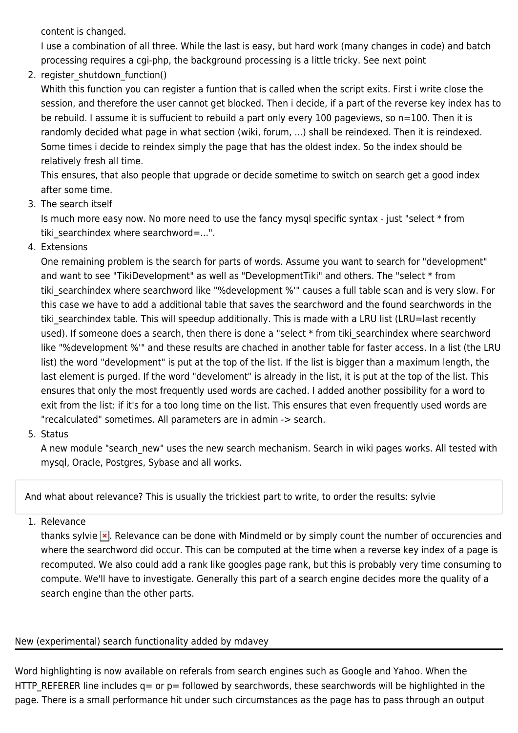content is changed.

I use a combination of all three. While the last is easy, but hard work (many changes in code) and batch processing requires a cgi-php, the background processing is a little tricky. See next point

2. register shutdown function()

Whith this function you can register a funtion that is called when the script exits. First i write close the session, and therefore the user cannot get blocked. Then i decide, if a part of the reverse key index has to be rebuild. I assume it is suffucient to rebuild a part only every 100 pageviews, so n=100. Then it is randomly decided what page in what section (wiki, forum, ...) shall be reindexed. Then it is reindexed. Some times i decide to reindex simply the page that has the oldest index. So the index should be relatively fresh all time.

This ensures, that also people that upgrade or decide sometime to switch on search get a good index after some time.

3. The search itself

Is much more easy now. No more need to use the fancy mysql specific syntax - just "select \* from tiki searchindex where searchword=...".

4. Extensions

One remaining problem is the search for parts of words. Assume you want to search for "development" and want to see "TikiDevelopment" as well as "DevelopmentTiki" and others. The "select \* from tiki searchindex where searchword like "%development %" causes a full table scan and is very slow. For this case we have to add a additional table that saves the searchword and the found searchwords in the tiki searchindex table. This will speedup additionally. This is made with a LRU list (LRU=last recently used). If someone does a search, then there is done a "select \* from tiki searchindex where searchword like "%development %" and these results are chached in another table for faster access. In a list (the LRU list) the word "development" is put at the top of the list. If the list is bigger than a maximum length, the last element is purged. If the word "develoment" is already in the list, it is put at the top of the list. This ensures that only the most frequently used words are cached. I added another possibility for a word to exit from the list: if it's for a too long time on the list. This ensures that even frequently used words are "recalculated" sometimes. All parameters are in admin -> search.

5. Status

A new module "search new" uses the new search mechanism. Search in wiki pages works. All tested with mysql, Oracle, Postgres, Sybase and all works.

And what about relevance? This is usually the trickiest part to write, to order the results: sylvie

1. Relevance

thanks sylvie  $\blacktriangleright$ . Relevance can be done with Mindmeld or by simply count the number of occurencies and where the searchword did occur. This can be computed at the time when a reverse key index of a page is recomputed. We also could add a rank like googles page rank, but this is probably very time consuming to compute. We'll have to investigate. Generally this part of a search engine decides more the quality of a search engine than the other parts.

#### New (experimental) search functionality added by mdavey

Word highlighting is now available on referals from search engines such as Google and Yahoo. When the HTTP REFERER line includes  $q=$  or  $p=$  followed by searchwords, these searchwords will be highlighted in the page. There is a small performance hit under such circumstances as the page has to pass through an output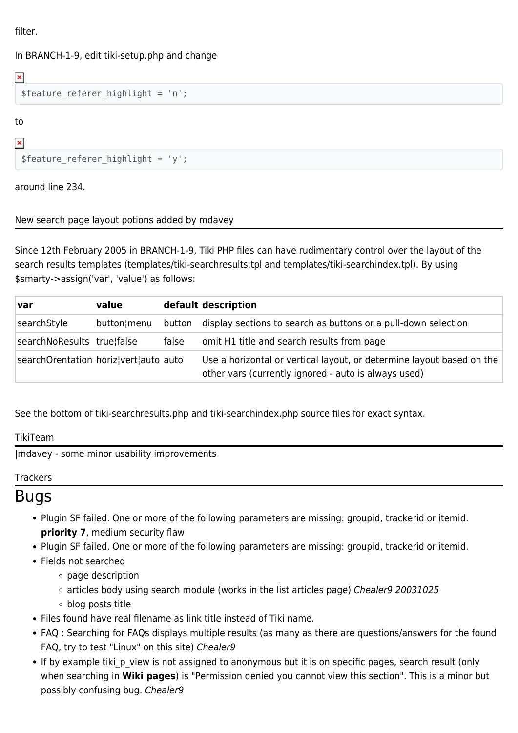filter.

#### In BRANCH-1-9, edit tiki-setup.php and change

\$feature referer highlight = 'n';

to

 $\pmb{\times}$ 

 $\pmb{\times}$ 

\$feature referer highlight =  $'y'$ ;

around line 234.

#### New search page layout potions added by mdavey

Since 12th February 2005 in BRANCH-1-9, Tiki PHP files can have rudimentary control over the layout of the search results templates (templates/tiki-searchresults.tpl and templates/tiki-searchindex.tpl). By using \$smarty->assign('var', 'value') as follows:

| <b>var</b>                            | value       |        | default description                                                                                                           |
|---------------------------------------|-------------|--------|-------------------------------------------------------------------------------------------------------------------------------|
| searchStyle                           | button¦menu | button | display sections to search as buttons or a pull-down selection                                                                |
| searchNoResults true false            |             | false  | omit H1 title and search results from page                                                                                    |
| searchOrentation horiz!vert!auto auto |             |        | Use a horizontal or vertical layout, or determine layout based on the<br>other vars (currently ignored - auto is always used) |

See the bottom of tiki-searchresults.php and tiki-searchindex.php source files for exact syntax.

#### TikiTeam

[|mdavey](https://tiki.org/tiki-editpage.php?page=userPageMDavey) - some minor usability improvements

#### **Trackers**

### Bugs

- Plugin SF failed. One or more of the following parameters are missing: groupid, trackerid or itemid. **priority 7**, medium security flaw
- Plugin SF failed. One or more of the following parameters are missing: groupid, trackerid or itemid.
- Fields not searched
	- page description
	- $\circ$  articles body using search module (works in the list articles page) Chealer9 20031025
	- blog posts title
- Files found have real filename as link title instead of Tiki name.
- FAQ : Searching for FAQs displays multiple results (as many as there are questions/answers for the found FAQ, try to test "Linux" on this site) Chealer9
- If by example tiki p view is not assigned to anonymous but it is on specific pages, search result (only when searching in **Wiki pages**) is "Permission denied you cannot view this section". This is a minor but possibly confusing bug. Chealer9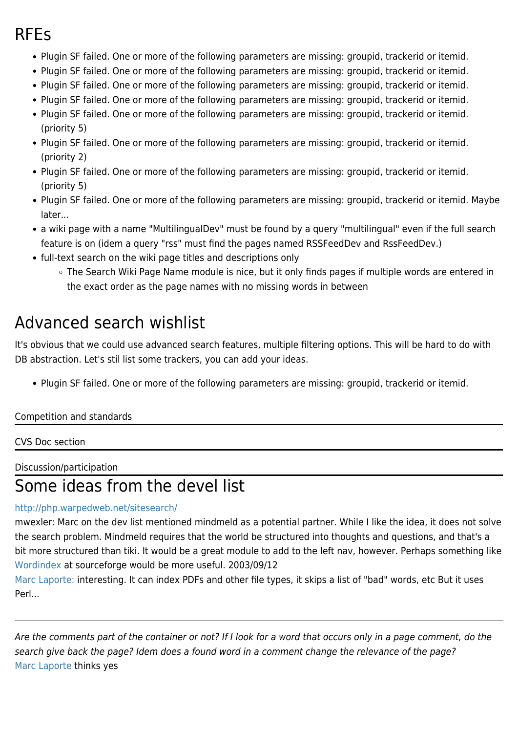### RFEs

- Plugin SF failed. One or more of the following parameters are missing: groupid, trackerid or itemid.
- Plugin SF failed. One or more of the following parameters are missing: groupid, trackerid or itemid.
- Plugin SF failed. One or more of the following parameters are missing: groupid, trackerid or itemid.
- Plugin SF failed. One or more of the following parameters are missing: groupid, trackerid or itemid.
- Plugin SF failed. One or more of the following parameters are missing: groupid, trackerid or itemid. (priority 5)
- Plugin SF failed. One or more of the following parameters are missing: groupid, trackerid or itemid. (priority 2)
- Plugin SF failed. One or more of the following parameters are missing: groupid, trackerid or itemid. (priority 5)
- Plugin SF failed. One or more of the following parameters are missing: groupid, trackerid or itemid. Maybe later...
- a wiki page with a name "MultilingualDev" must be found by a query "multilingual" even if the full search feature is on (idem a query "rss" must find the pages named RSSFeedDev and RssFeedDev.)
- full-text search on the wiki page titles and descriptions only
	- The Search Wiki Page Name module is nice, but it only finds pages if multiple words are entered in the exact order as the page names with no missing words in between

## Advanced search wishlist

It's obvious that we could use advanced search features, multiple filtering options. This will be hard to do with DB abstraction. Let's stil list some trackers, you can add your ideas.

Plugin SF failed. One or more of the following parameters are missing: groupid, trackerid or itemid.

#### Competition and standards

#### CVS Doc section

Discussion/participation

### Some ideas from the devel list

#### <http://php.warpedweb.net/sitesearch/>

mwexler: Marc on the dev list mentioned mindmeld as a potential partner. While I like the idea, it does not solve the search problem. Mindmeld requires that the world be structured into thoughts and questions, and that's a bit more structured than tiki. It would be a great module to add to the left nav, however. Perhaps something like [Wordindex](http://wordindex.sourceforge.net/) at sourceforge would be more useful. 2003/09/12

[Marc Laporte:](https://tiki.org/UserPagemarclaporte) interesting. It can index PDFs and other file types, it skips a list of "bad" words, etc But it uses Perl...

Are the comments part of the container or not? If I look for a word that occurs only in a page comment, do the search give back the page? Idem does a found word in a comment change the relevance of the page? [Marc Laporte](https://tiki.org/UserPagemarclaporte) thinks yes